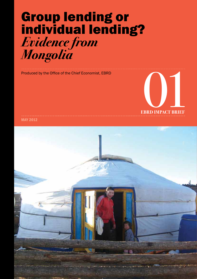### <span id="page-0-0"></span>Group lending or individual lending? *Evidence from Mongolia*

[Produced by the Office of the Chief Economist, EBRD](http://www.ebrd.com/pages/research/economics/about.shtml)



MAY 2012

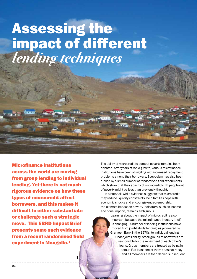## <span id="page-1-0"></span>Assessing the impact of different *lending techniques*

Microfinance institutions across the world are moving from group lending to individual lending. Yet there is not much rigorous evidence on how these types of microcredit affect borrowers, and this makes it difficult to either substantiate or challenge such a strategic move. This EBRD Impact Brief presents some such evidence from a recent randomised field experiment in Mongolia.<sup>1</sup>

**1**

The ability of microcredit to combat poverty remains hotly debated. After years of rapid growth, various microfinance institutions have been struggling with increased repayment problems among their borrowers. Scepticism has also been fuelled by a small number of randomised field experiments which show that the capacity of microcredit to lift people out of poverty might be less than previously thought.

In a nutshell, while evidence suggests that microcredit may reduce liquidity constraints, help families cope with economic shocks and encourage entrepreneurship, the ultimate impact on poverty indicators, such as income and consumption, remains ambiguous.

> Learning about the impact of microcredit is also important because the microfinance industry itself is changing. A number of leading institutions have moved from joint-liability lending, as pioneered by Grameen Bank in the 1970s, to individual lending. Under joint liability, small groups of borrowers are responsible for the repayment of each other's loans. Group members are treated as being in default if at least one of them does not repay and all members are then denied subsequent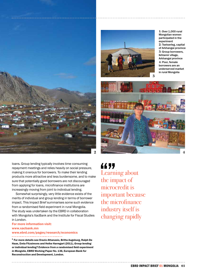<span id="page-2-0"></span>



**1:** Over 1,000 rural Mongolian women participated in the experiment **2:** Tsetserleg, capital of Arkhangai province **3:** Group borrowers, Ikhtamir village, Arkhangai province **4:** Poor, female borrowers are an underserved market in rural Mongolia



loans. Group lending typically involves time-consuming repayment meetings and relies heavily on social pressure, making it onerous for borrowers. To make their lending products more attractive and less burdensome, and to make sure that potentially good borrowers are not discouraged from applying for loans, microfinance institutions are increasingly moving from joint to individual lending.

Somewhat surprisingly, very little evidence exists of the merits of individual and group lending in terms of borrower impact. This Impact Brief summarises some such evidence from a randomised field experiment in rural Mongolia. The study was undertaken by the EBRD in collaboration with Mongolia's XacBank and the Institute for Fiscal Studies in London.

### For more information visit:

### <www.xacbank.mn> <www.ebrd.com/pages/research/economics>

\_\_\_\_\_\_\_\_\_\_\_\_\_\_\_\_\_\_\_\_\_\_\_\_\_\_\_\_\_\_\_\_\_

<sup>1</sup> For more details see Orazio Attanasio, Britta Augsburg, Ralph De Haas, Emla Fitzsimons and Heike Harmgart (2011), *Group lending or individual lending? Evidence from a randomised field experiment in Mongolia*, EBRD Working Paper No. 136, European Bank for Reconstruction and Development, London.

Learning about the impact of microcredit is important because the microfinance industry itself is changing rapidly **""** 

[EBRD Impact Brief 01 MONGOLIA](#page-3-0) **03**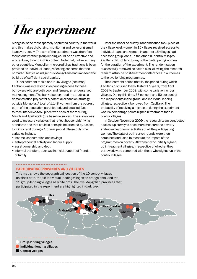# <span id="page-3-0"></span>*The experiment*

Mongolia is the most sparsely populated country in the world and this makes disbursing, monitoring and collecting small loans very costly. The aim of the experiment was therefore to find out whether group lending could be an effective and efficient way to lend in this context. Note that, unlike in many other countries, Mongolian microcredit has traditionally been provided as individual loans, reflecting concerns that the nomadic lifestyle of indigenous Mongolians had impeded the build-up of sufficient social capital.

Our experiment took place in 40 villages (see map). XacBank was interested in expanding access to those borrowers who are both poor and female, an underserved market segment. The bank also regarded the study as a demonstration project for a potential expansion strategy outside Mongolia. A total of 1,148 women from the poorest parts of the population participated, and detailed faceto-face interviews took place with each of them during March and April 2008 (the baseline survey). The survey was used to measure variables that reflect households' living standards and that could in principle be affected by access to microcredit during a 1.5-year period. These outcome variables include:

- income, consumption and savings
- entrepreneurial activity and labour supply
- asset ownership and debt
- informal transfers, such as financial support of friends or family.

After the baseline survey, randomisation took place at the village level: women in 15 villages received access to individual loans and women in another 15 villages had access to group loans. In the other 10 control villages XacBank did not lend to any of the participating women for the duration of the experiment. The randomisation successfully removed selection bias, allowing the research team to attribute post-treatment differences in outcomes to the two lending programmes.

The treatment period (that is, the period during which XacBank disbursed loans) lasted 1.5 years, from April 2008 to September 2009, with some variation across villages. During this time, 57 per cent and 50 per cent of the respondents in the group- and individual-lending villages, respectively, borrowed from XacBank. The probability of receiving a microloan during the experiment was 24 percentage points higher in treatment than in control villages.

In October-November 2009 the research team conducted a follow-up survey to once more measure the poverty status and economic activities of all the participating women. The data of both survey rounds were then combined and used to measure the impact of the programmes on poverty. All women who initially signed up in treatment villages, irrespective of whether they borrowed, were compared with those who signed up in the control villages.



This map shows the geographical location of the 10 control villages as black dots, the 15 individual-lending villages as orange dots, and the 15 group-lending villages as white dots. The five Mongolian provinces that participated in the experiment are highlighted in dark grey.

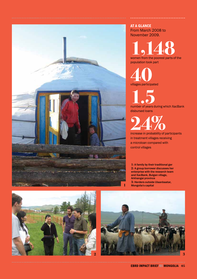<span id="page-4-0"></span>

AT A GLANCE From March 2008 to November 2009.

**1,148**<br>women from the poorest parts of the population took part

**40** villages participated

**1.5** number of years during which XacBank disbursed loans

**24%**<br>
increase in probability of participants

in treatment villages receiving a microloan compared with control villages

**1:** A family by their traditional ger **2:** A group borrower discusses her enterprise with the research team and XacBank, Bulgan village, Arkhangai province **3:** Herders outside Ulaanbaatar, **1** Mongolia's capital



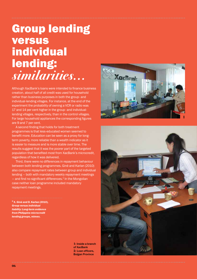### <span id="page-5-0"></span>Group lending versus **individual** lending: *similarities...*

Although XacBank's loans were intended to finance business creation, about half of all credit was used for household rather than business purposes in both the group- and individual-lending villages. For instance, at the end of the experiment the probability of owning a VCR or radio was 17 and 14 per cent higher in the group- and individuallending villages, respectively, than in the control villages. For large household appliances the corresponding figures are 9 and 7 per cent.

A second finding that holds for both treatment programmes is that less-educated women seemed to benefit more. Education can be seen as a proxy for longterm poverty, more reliable than a wealth indicator as it is easier to measure and is more stable over time. The results suggest that it was the poorer part of the targeted population that benefited most from XacBank's microcredit, regardless of how it was delivered.

Third, there were no differences in repayment behaviour between both lending programmes. Giné and Karlan (2010) also compare repayment rates between group and individual lending – both with mandatory weekly repayment meetings – and find no significant differences. 2 In the Mongolian case neither loan programme included mandatory repayment meetings.

2 X. Giné and D. Karlan (2010), *Group versus individual liability: Long-term evidence from Philippine microcredit lending groups*, mimeo.

> **1:** Inside a branch of XacBank **2:** Loan officers, Bulgan Province



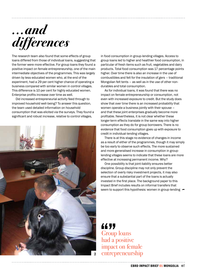<span id="page-6-0"></span>

The research team also found that some effects of group loans differed from those of individual loans, suggesting that the former were more effective. For group loans they found a positive impact on female entrepreneurship, one of the main intermediate objectives of the programmes. This was largely driven by less-educated women who, at the end of the experiment, had a 29 per cent higher chance of operating a business compared with similar women in control villages. This difference is 10 per cent for highly educated women. Enterprise profits increase over time as well.

Did increased entrepreneurial activity feed through to improved household well-being? To answer this question, the team used detailed information on household consumption that was elicited via the surveys. They found a significant and robust increase, relative to control villages,



in food consumption in group-lending villages. Access to group loans led to higher and healthier food consumption, in particular of fresh items such as fruit, vegetables and dairy products. Total food consumption was 17 percentage points higher. Over time there is also an increase in the use of combustibles and felt for the insulation of *gers* – traditional Mongolian felt tents – as well as in the use of other nondurables and total consumption.

As for individual loans, it was found that there was no impact on female entrepreneurship or consumption, not even with increased exposure to credit. But the study does show that over time there is an increased probability that women operate a business jointly with their spouse – and that these joint enterprises gradually become more profitable. Nevertheless, it is not clear whether these longer-term effects translate in the same way into higher consumption as they do for group borrowers. There is no evidence that food consumption goes up with exposure to credit in individual-lending villages.

There is at this stage no evidence of changes in income as a result of either of the programmes, though it may simply be too early to observe such effects. The more sustained and more generalised increase in consumption in grouplending villages seems to indicate that these loans are more effective at increasing permanent income. Why?

One possibility is that joint-liability ensures better discipline. Group discipline may not only prevent the selection of overly risky investment projects, it may also ensure that a substantial part of the loans is actually invested in the first place. The background paper to this Impact Brief includes results on informal transfers that seem to support this hypothesis: women in group-lending  $\rightarrow$ 

Group loans had a positive impact on female entrepreneurship **44 99**<br>Group<br>had a 1